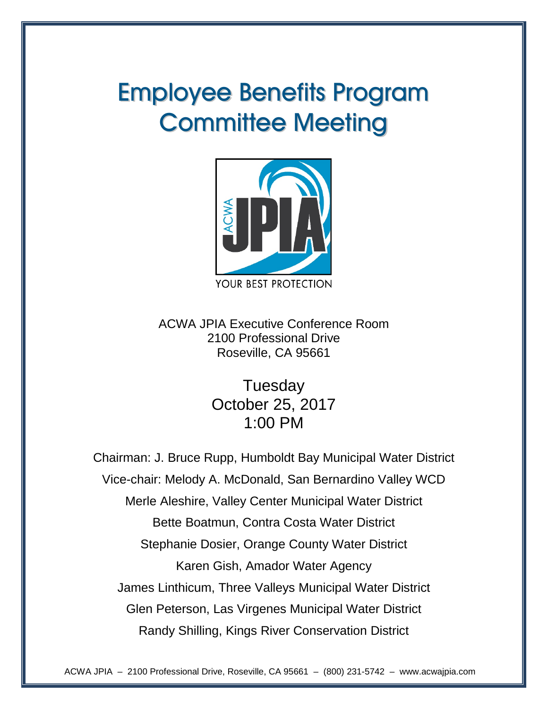# Employee Benefits Program **Committee Meeting**



ACWA JPIA Executive Conference Room 2100 Professional Drive Roseville, CA 95661

> **Tuesday** October 25, 2017 1:00 PM

Chairman: J. Bruce Rupp, Humboldt Bay Municipal Water District Vice-chair: Melody A. McDonald, San Bernardino Valley WCD Merle Aleshire, Valley Center Municipal Water District Bette Boatmun, Contra Costa Water District Stephanie Dosier, Orange County Water District Karen Gish, Amador Water Agency James Linthicum, Three Valleys Municipal Water District Glen Peterson, Las Virgenes Municipal Water District Randy Shilling, Kings River Conservation District

ACWA JPIA – 2100 Professional Drive, Roseville, CA 95661 – (800) 231-5742 – www.acwajpia.com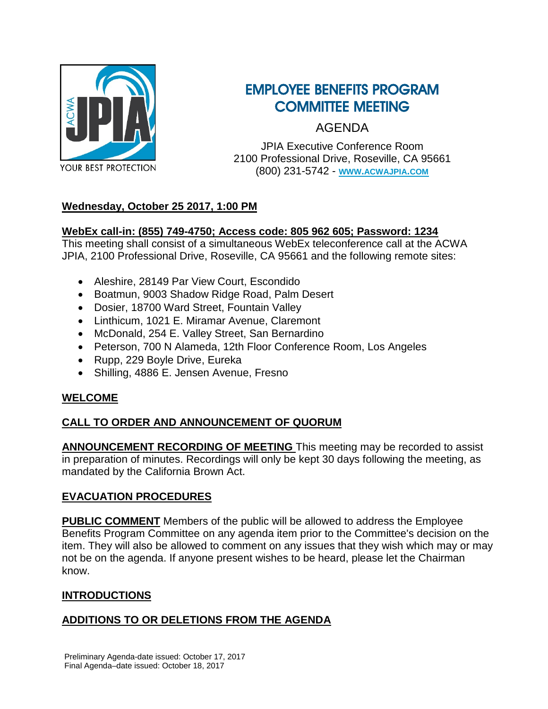

## EMPLOYEE BENEFITS PROGRAM COMMITTEE MEETING

AGENDA

JPIA Executive Conference Room 2100 Professional Drive, Roseville, CA 95661 (800) 231-5742 - **[WWW.ACWAJPIA.COM](http://www.acwajpia.com/)**

## **Wednesday, October 25 2017, 1:00 PM**

## **WebEx call-in: (855) 749-4750; Access code: 805 962 605; Password: 1234**

This meeting shall consist of a simultaneous WebEx teleconference call at the ACWA JPIA, 2100 Professional Drive, Roseville, CA 95661 and the following remote sites:

- Aleshire, 28149 Par View Court, Escondido
- Boatmun, 9003 Shadow Ridge Road, Palm Desert
- Dosier, 18700 Ward Street, Fountain Valley
- Linthicum, 1021 E. Miramar Avenue, Claremont
- McDonald, 254 E. Valley Street, San Bernardino
- Peterson, 700 N Alameda, 12th Floor Conference Room, Los Angeles
- Rupp, 229 Boyle Drive, Eureka
- Shilling, 4886 E. Jensen Avenue, Fresno

## **WELCOME**

## **CALL TO ORDER AND ANNOUNCEMENT OF QUORUM**

**ANNOUNCEMENT RECORDING OF MEETING** This meeting may be recorded to assist in preparation of minutes. Recordings will only be kept 30 days following the meeting, as mandated by the California Brown Act.

## **EVACUATION PROCEDURES**

**PUBLIC COMMENT** Members of the public will be allowed to address the Employee Benefits Program Committee on any agenda item prior to the Committee's decision on the item. They will also be allowed to comment on any issues that they wish which may or may not be on the agenda. If anyone present wishes to be heard, please let the Chairman know.

## **INTRODUCTIONS**

## **ADDITIONS TO OR DELETIONS FROM THE AGENDA**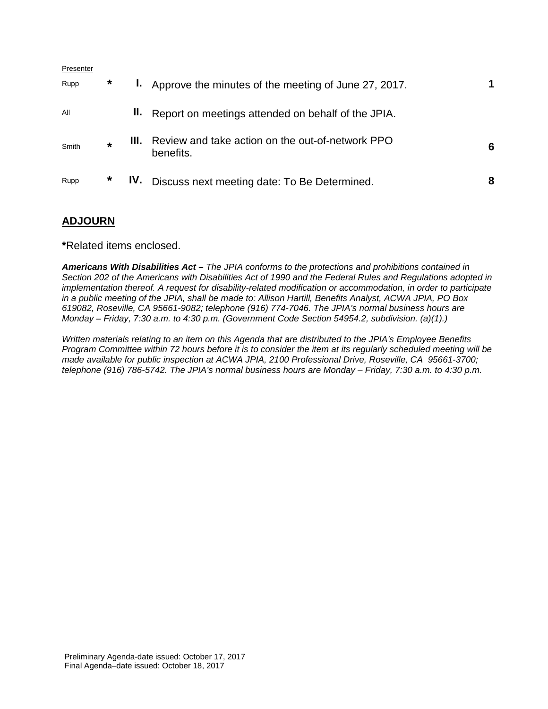| Presenter |         |     |                                                                           |   |
|-----------|---------|-----|---------------------------------------------------------------------------|---|
| Rupp      | $\ast$  |     | <b>I.</b> Approve the minutes of the meeting of June 27, 2017.            |   |
| All       |         |     | <b>II.</b> Report on meetings attended on behalf of the JPIA.             |   |
| Smith     | $\star$ |     | <b>III.</b> Review and take action on the out-of-network PPO<br>benefits. | 6 |
| Rupp      | *       | IV. | Discuss next meeting date: To Be Determined.                              | 8 |

## **ADJOURN**

**\***Related items enclosed.

*Americans With Disabilities Act – The JPIA conforms to the protections and prohibitions contained in Section 202 of the Americans with Disabilities Act of 1990 and the Federal Rules and Regulations adopted in implementation thereof. A request for disability-related modification or accommodation, in order to participate in a public meeting of the JPIA, shall be made to: Allison Hartill, Benefits Analyst, ACWA JPIA, PO Box 619082, Roseville, CA 95661-9082; telephone (916) 774-7046. The JPIA's normal business hours are Monday – Friday, 7:30 a.m. to 4:30 p.m. (Government Code Section 54954.2, subdivision. (a)(1).)*

*Written materials relating to an item on this Agenda that are distributed to the JPIA's Employee Benefits Program Committee within 72 hours before it is to consider the item at its regularly scheduled meeting will be made available for public inspection at ACWA JPIA, 2100 Professional Drive, Roseville, CA 95661-3700; telephone (916) 786-5742. The JPIA's normal business hours are Monday – Friday, 7:30 a.m. to 4:30 p.m.*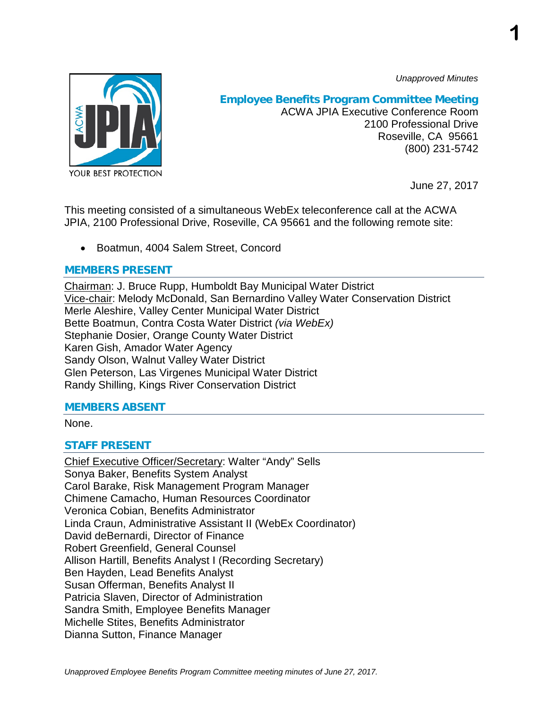*Unapproved Minutes*

**1**



## **Employee Benefits Program Committee Meeting**

ACWA JPIA Executive Conference Room 2100 Professional Drive Roseville, CA 95661 (800) 231-5742

June 27, 2017

This meeting consisted of a simultaneous WebEx teleconference call at the ACWA JPIA, 2100 Professional Drive, Roseville, CA 95661 and the following remote site:

• Boatmun, 4004 Salem Street, Concord

## **MEMBERS PRESENT**

Chairman: J. Bruce Rupp, Humboldt Bay Municipal Water District Vice-chair: Melody McDonald, San Bernardino Valley Water Conservation District Merle Aleshire, Valley Center Municipal Water District Bette Boatmun, Contra Costa Water District *(via WebEx)* Stephanie Dosier, Orange County Water District Karen Gish, Amador Water Agency Sandy Olson, Walnut Valley Water District Glen Peterson, Las Virgenes Municipal Water District Randy Shilling, Kings River Conservation District

## **MEMBERS ABSENT**

None.

## **STAFF PRESENT**

Chief Executive Officer/Secretary: Walter "Andy" Sells Sonya Baker, Benefits System Analyst Carol Barake, Risk Management Program Manager Chimene Camacho, Human Resources Coordinator Veronica Cobian, Benefits Administrator Linda Craun, Administrative Assistant II (WebEx Coordinator) David deBernardi, Director of Finance Robert Greenfield, General Counsel Allison Hartill, Benefits Analyst I (Recording Secretary) Ben Hayden, Lead Benefits Analyst Susan Offerman, Benefits Analyst II Patricia Slaven, Director of Administration Sandra Smith, Employee Benefits Manager Michelle Stites, Benefits Administrator Dianna Sutton, Finance Manager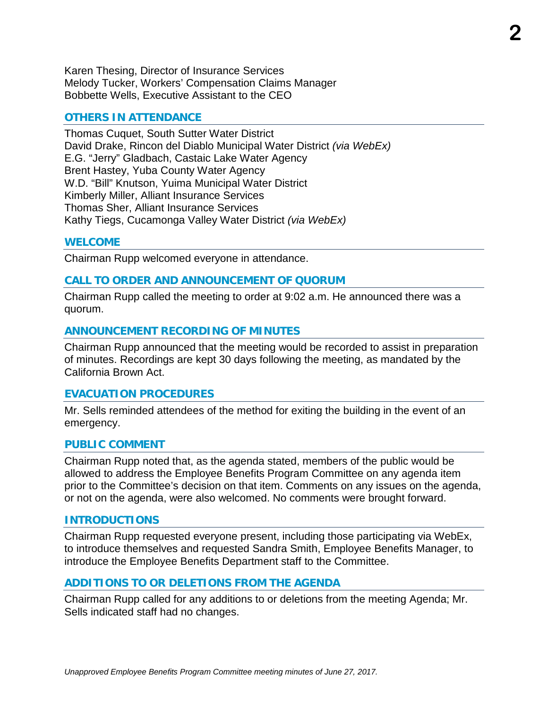Karen Thesing, Director of Insurance Services Melody Tucker, Workers' Compensation Claims Manager Bobbette Wells, Executive Assistant to the CEO

#### **OTHERS IN ATTENDANCE**

Thomas Cuquet, South Sutter Water District David Drake, Rincon del Diablo Municipal Water District *(via WebEx)* E.G. "Jerry" Gladbach, Castaic Lake Water Agency Brent Hastey, Yuba County Water Agency W.D. "Bill" Knutson, Yuima Municipal Water District Kimberly Miller, Alliant Insurance Services Thomas Sher, Alliant Insurance Services Kathy Tiegs, Cucamonga Valley Water District *(via WebEx)*

#### **WELCOME**

Chairman Rupp welcomed everyone in attendance.

#### **CALL TO ORDER AND ANNOUNCEMENT OF QUORUM**

Chairman Rupp called the meeting to order at 9:02 a.m. He announced there was a quorum.

#### **ANNOUNCEMENT RECORDING OF MINUTES**

Chairman Rupp announced that the meeting would be recorded to assist in preparation of minutes. Recordings are kept 30 days following the meeting, as mandated by the California Brown Act.

#### **EVACUATION PROCEDURES**

Mr. Sells reminded attendees of the method for exiting the building in the event of an emergency.

#### **PUBLIC COMMENT**

Chairman Rupp noted that, as the agenda stated, members of the public would be allowed to address the Employee Benefits Program Committee on any agenda item prior to the Committee's decision on that item. Comments on any issues on the agenda, or not on the agenda, were also welcomed. No comments were brought forward.

#### **INTRODUCTIONS**

Chairman Rupp requested everyone present, including those participating via WebEx, to introduce themselves and requested Sandra Smith, Employee Benefits Manager, to introduce the Employee Benefits Department staff to the Committee.

#### **ADDITIONS TO OR DELETIONS FROM THE AGENDA**

Chairman Rupp called for any additions to or deletions from the meeting Agenda; Mr. Sells indicated staff had no changes.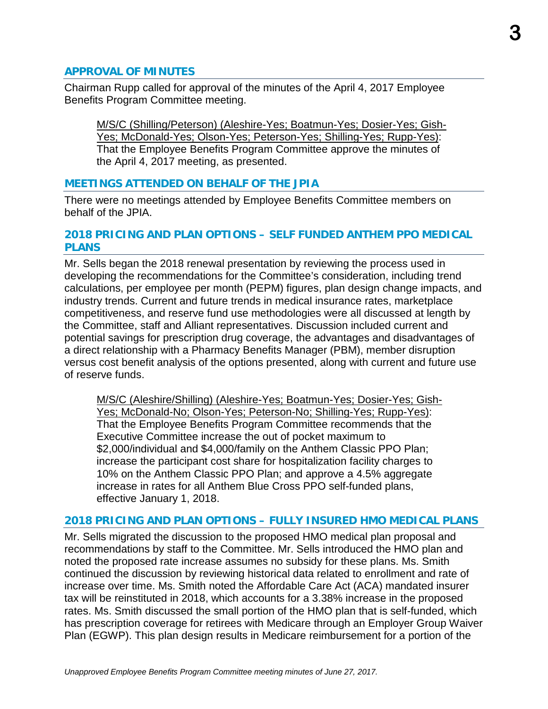#### **APPROVAL OF MINUTES**

Chairman Rupp called for approval of the minutes of the April 4, 2017 Employee Benefits Program Committee meeting.

M/S/C (Shilling/Peterson) (Aleshire-Yes; Boatmun-Yes; Dosier-Yes; Gish-Yes; McDonald-Yes; Olson-Yes; Peterson-Yes; Shilling-Yes; Rupp-Yes): That the Employee Benefits Program Committee approve the minutes of the April 4, 2017 meeting, as presented.

#### **MEETINGS ATTENDED ON BEHALF OF THE JPIA**

There were no meetings attended by Employee Benefits Committee members on behalf of the JPIA.

#### **2018 PRICING AND PLAN OPTIONS – SELF FUNDED ANTHEM PPO MEDICAL PLANS**

Mr. Sells began the 2018 renewal presentation by reviewing the process used in developing the recommendations for the Committee's consideration, including trend calculations, per employee per month (PEPM) figures, plan design change impacts, and industry trends. Current and future trends in medical insurance rates, marketplace competitiveness, and reserve fund use methodologies were all discussed at length by the Committee, staff and Alliant representatives. Discussion included current and potential savings for prescription drug coverage, the advantages and disadvantages of a direct relationship with a Pharmacy Benefits Manager (PBM), member disruption versus cost benefit analysis of the options presented, along with current and future use of reserve funds.

M/S/C (Aleshire/Shilling) (Aleshire-Yes; Boatmun-Yes; Dosier-Yes; Gish-Yes; McDonald-No; Olson-Yes; Peterson-No; Shilling-Yes; Rupp-Yes): That the Employee Benefits Program Committee recommends that the Executive Committee increase the out of pocket maximum to \$2,000/individual and \$4,000/family on the Anthem Classic PPO Plan; increase the participant cost share for hospitalization facility charges to 10% on the Anthem Classic PPO Plan; and approve a 4.5% aggregate increase in rates for all Anthem Blue Cross PPO self-funded plans, effective January 1, 2018.

#### **2018 PRICING AND PLAN OPTIONS – FULLY INSURED HMO MEDICAL PLANS**

Mr. Sells migrated the discussion to the proposed HMO medical plan proposal and recommendations by staff to the Committee. Mr. Sells introduced the HMO plan and noted the proposed rate increase assumes no subsidy for these plans. Ms. Smith continued the discussion by reviewing historical data related to enrollment and rate of increase over time. Ms. Smith noted the Affordable Care Act (ACA) mandated insurer tax will be reinstituted in 2018, which accounts for a 3.38% increase in the proposed rates. Ms. Smith discussed the small portion of the HMO plan that is self-funded, which has prescription coverage for retirees with Medicare through an Employer Group Waiver Plan (EGWP). This plan design results in Medicare reimbursement for a portion of the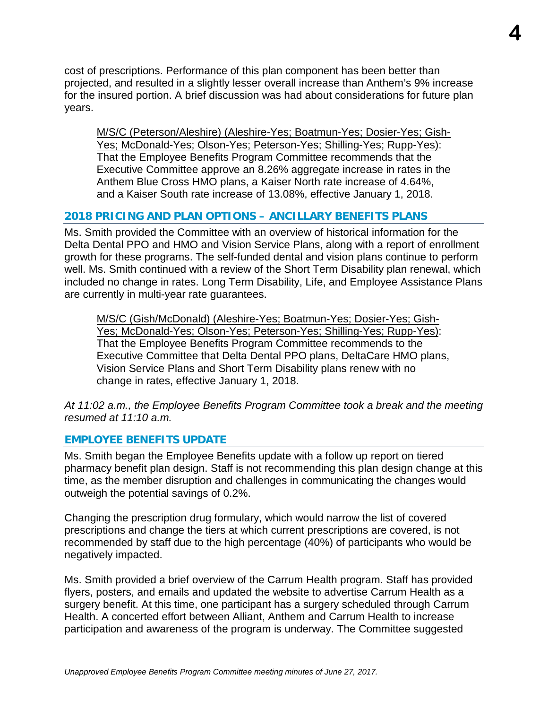cost of prescriptions. Performance of this plan component has been better than projected, and resulted in a slightly lesser overall increase than Anthem's 9% increase for the insured portion. A brief discussion was had about considerations for future plan years.

M/S/C (Peterson/Aleshire) (Aleshire-Yes; Boatmun-Yes; Dosier-Yes; Gish-Yes; McDonald-Yes; Olson-Yes; Peterson-Yes; Shilling-Yes; Rupp-Yes): That the Employee Benefits Program Committee recommends that the Executive Committee approve an 8.26% aggregate increase in rates in the Anthem Blue Cross HMO plans, a Kaiser North rate increase of 4.64%, and a Kaiser South rate increase of 13.08%, effective January 1, 2018.

## **2018 PRICING AND PLAN OPTIONS – ANCILLARY BENEFITS PLANS**

Ms. Smith provided the Committee with an overview of historical information for the Delta Dental PPO and HMO and Vision Service Plans, along with a report of enrollment growth for these programs. The self-funded dental and vision plans continue to perform well. Ms. Smith continued with a review of the Short Term Disability plan renewal, which included no change in rates. Long Term Disability, Life, and Employee Assistance Plans are currently in multi-year rate guarantees.

M/S/C (Gish/McDonald) (Aleshire-Yes; Boatmun-Yes; Dosier-Yes; Gish-Yes; McDonald-Yes; Olson-Yes; Peterson-Yes; Shilling-Yes; Rupp-Yes): That the Employee Benefits Program Committee recommends to the Executive Committee that Delta Dental PPO plans, DeltaCare HMO plans, Vision Service Plans and Short Term Disability plans renew with no change in rates, effective January 1, 2018.

*At 11:02 a.m., the Employee Benefits Program Committee took a break and the meeting resumed at 11:10 a.m.*

#### **EMPLOYEE BENEFITS UPDATE**

Ms. Smith began the Employee Benefits update with a follow up report on tiered pharmacy benefit plan design. Staff is not recommending this plan design change at this time, as the member disruption and challenges in communicating the changes would outweigh the potential savings of 0.2%.

Changing the prescription drug formulary, which would narrow the list of covered prescriptions and change the tiers at which current prescriptions are covered, is not recommended by staff due to the high percentage (40%) of participants who would be negatively impacted.

Ms. Smith provided a brief overview of the Carrum Health program. Staff has provided flyers, posters, and emails and updated the website to advertise Carrum Health as a surgery benefit. At this time, one participant has a surgery scheduled through Carrum Health. A concerted effort between Alliant, Anthem and Carrum Health to increase participation and awareness of the program is underway. The Committee suggested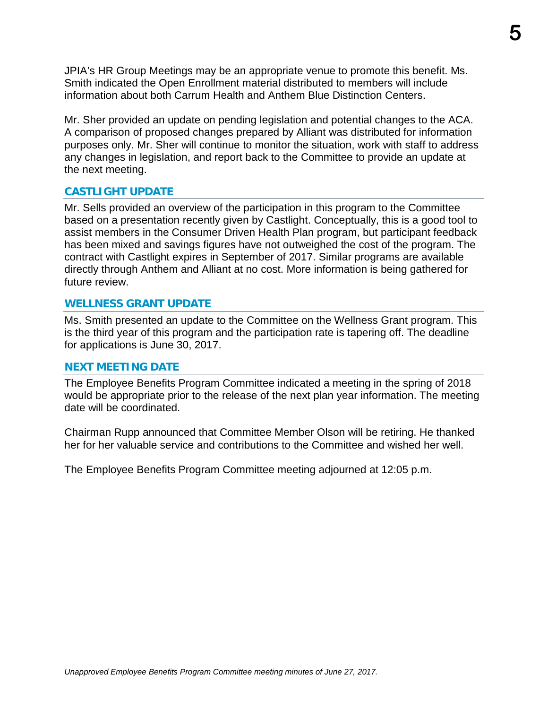JPIA's HR Group Meetings may be an appropriate venue to promote this benefit. Ms. Smith indicated the Open Enrollment material distributed to members will include information about both Carrum Health and Anthem Blue Distinction Centers.

Mr. Sher provided an update on pending legislation and potential changes to the ACA. A comparison of proposed changes prepared by Alliant was distributed for information purposes only. Mr. Sher will continue to monitor the situation, work with staff to address any changes in legislation, and report back to the Committee to provide an update at the next meeting.

#### **CASTLIGHT UPDATE**

Mr. Sells provided an overview of the participation in this program to the Committee based on a presentation recently given by Castlight. Conceptually, this is a good tool to assist members in the Consumer Driven Health Plan program, but participant feedback has been mixed and savings figures have not outweighed the cost of the program. The contract with Castlight expires in September of 2017. Similar programs are available directly through Anthem and Alliant at no cost. More information is being gathered for future review.

#### **WELLNESS GRANT UPDATE**

Ms. Smith presented an update to the Committee on the Wellness Grant program. This is the third year of this program and the participation rate is tapering off. The deadline for applications is June 30, 2017.

#### **NEXT MEETING DATE**

The Employee Benefits Program Committee indicated a meeting in the spring of 2018 would be appropriate prior to the release of the next plan year information. The meeting date will be coordinated.

Chairman Rupp announced that Committee Member Olson will be retiring. He thanked her for her valuable service and contributions to the Committee and wished her well.

The Employee Benefits Program Committee meeting adjourned at 12:05 p.m.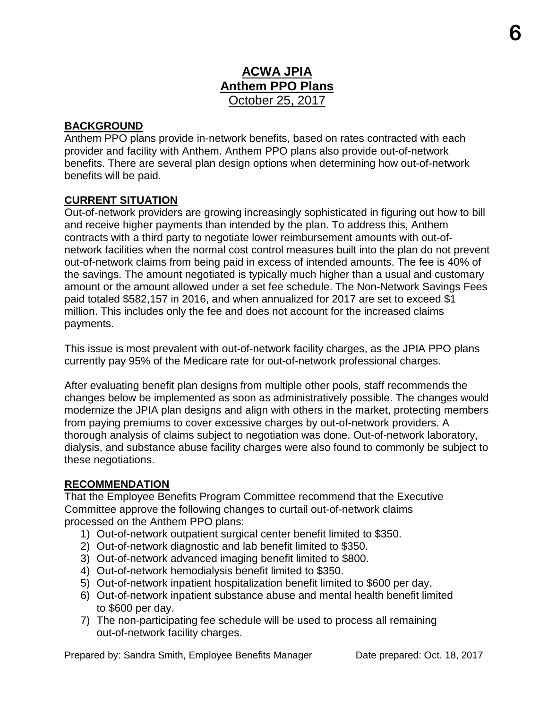## **ACWA JPIA Anthem PPO Plans** October 25, 2017

## **BACKGROUND**

Anthem PPO plans provide in-network benefits, based on rates contracted with each provider and facility with Anthem. Anthem PPO plans also provide out-of-network benefits. There are several plan design options when determining how out-of-network benefits will be paid.

## **CURRENT SITUATION**

Out-of-network providers are growing increasingly sophisticated in figuring out how to bill and receive higher payments than intended by the plan. To address this, Anthem contracts with a third party to negotiate lower reimbursement amounts with out-ofnetwork facilities when the normal cost control measures built into the plan do not prevent out-of-network claims from being paid in excess of intended amounts. The fee is 40% of the savings. The amount negotiated is typically much higher than a usual and customary amount or the amount allowed under a set fee schedule. The Non-Network Savings Fees paid totaled \$582,157 in 2016, and when annualized for 2017 are set to exceed \$1 million. This includes only the fee and does not account for the increased claims payments.

This issue is most prevalent with out-of-network facility charges, as the JPIA PPO plans currently pay 95% of the Medicare rate for out-of-network professional charges.

After evaluating benefit plan designs from multiple other pools, staff recommends the changes below be implemented as soon as administratively possible. The changes would modernize the JPIA plan designs and align with others in the market, protecting members from paying premiums to cover excessive charges by out-of-network providers. A thorough analysis of claims subject to negotiation was done. Out-of-network laboratory, dialysis, and substance abuse facility charges were also found to commonly be subject to these negotiations.

#### **RECOMMENDATION**

That the Employee Benefits Program Committee recommend that the Executive Committee approve the following changes to curtail out-of-network claims processed on the Anthem PPO plans:

- 1) Out-of-network outpatient surgical center benefit limited to \$350.
- 2) Out-of-network diagnostic and lab benefit limited to \$350.
- 3) Out-of-network advanced imaging benefit limited to \$800.
- 4) Out-of-network hemodialysis benefit limited to \$350.
- 5) Out-of-network inpatient hospitalization benefit limited to \$600 per day.
- 6) Out-of-network inpatient substance abuse and mental health benefit limited to \$600 per day.
- 7) The non-participating fee schedule will be used to process all remaining out-of-network facility charges.

Prepared by: Sandra Smith, Employee Benefits Manager Date prepared: Oct. 18, 2017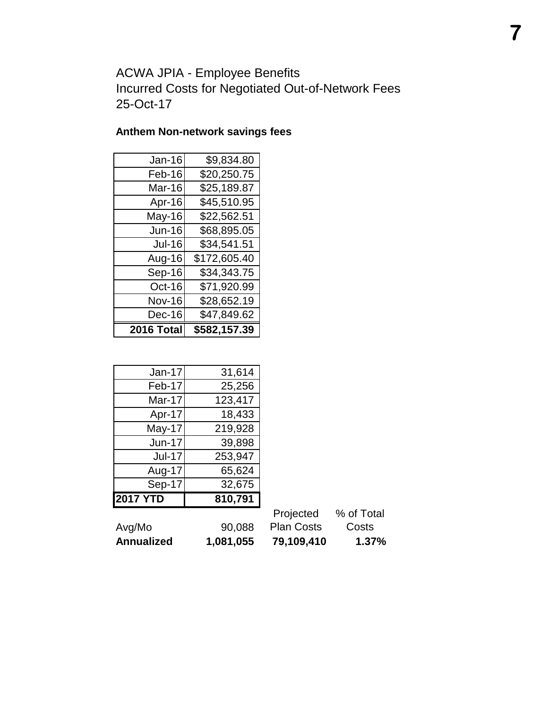ACWA JPIA - Employee Benefits Incurred Costs for Negotiated Out-of-Network Fees 25-Oct-17

## **Anthem Non-network savings fees**

| <b>Jan-16</b> | \$9,834.80   |
|---------------|--------------|
| Feb-16        | \$20,250.75  |
| Mar-16        | \$25,189.87  |
| Apr-16        | \$45,510.95  |
| May-16        | \$22,562.51  |
| <b>Jun-16</b> | \$68,895.05  |
| <b>Jul-16</b> | \$34,541.51  |
| Aug-16        | \$172,605.40 |
| Sep-16        | \$34,343.75  |
| Oct-16        | \$71,920.99  |
| <b>Nov-16</b> | \$28,652.19  |
| Dec-16        | \$47,849.62  |
| 2016 Total    | \$582,157.39 |

| Jan-17        | 31,614  |
|---------------|---------|
| Feb-17        | 25,256  |
| Mar-17        | 123,417 |
| Apr-17        | 18,433  |
| May-17        | 219,928 |
| <b>Jun-17</b> | 39,898  |
| <b>Jul-17</b> | 253,947 |
| Aug-17        | 65,624  |
| Sep-17        | 32,675  |
| 017 YTD       | 810,791 |

| Avg/Mo                  | 90.088 | <b>Plan Costs</b> | Costs |
|-------------------------|--------|-------------------|-------|
| 1,081,055<br>Annualized |        | 79,109,410        | 1.37% |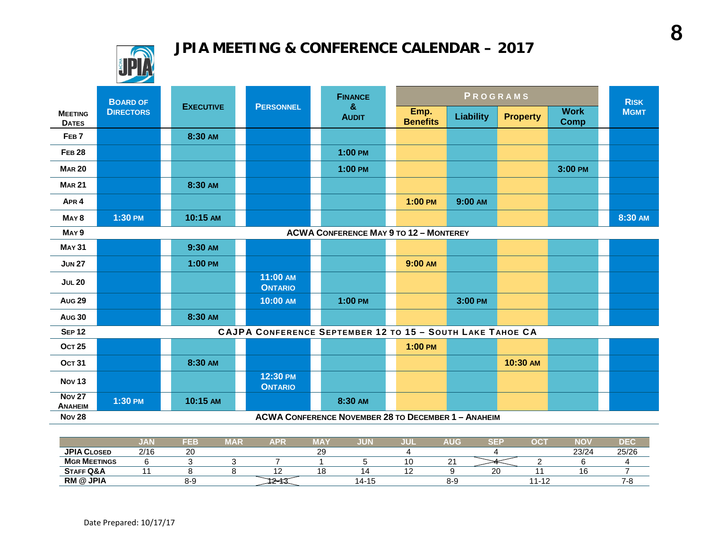# **JPIA MEETING & CONFERENCE CALENDAR – 2017**



|                                 | <b>BOARD OF</b>  |                  |                                                           | <b>FINANCE</b>                                             |                         | PROGRAMS         |                 |                            | <b>RISK</b> |  |
|---------------------------------|------------------|------------------|-----------------------------------------------------------|------------------------------------------------------------|-------------------------|------------------|-----------------|----------------------------|-------------|--|
| <b>MEETING</b><br><b>DATES</b>  | <b>DIRECTORS</b> | <b>EXECUTIVE</b> | <b>PERSONNEL</b>                                          | &<br><b>AUDIT</b>                                          | Emp.<br><b>Benefits</b> | <b>Liability</b> | <b>Property</b> | <b>Work</b><br><b>Comp</b> | <b>MGMT</b> |  |
| FEB <sub>7</sub>                |                  | 8:30 AM          |                                                           |                                                            |                         |                  |                 |                            |             |  |
| <b>FEB 28</b>                   |                  |                  |                                                           | $1:00$ PM                                                  |                         |                  |                 |                            |             |  |
| <b>MAR 20</b>                   |                  |                  |                                                           | $1:00$ PM                                                  |                         |                  |                 | 3:00 PM                    |             |  |
| <b>MAR 21</b>                   |                  | 8:30 AM          |                                                           |                                                            |                         |                  |                 |                            |             |  |
| APR <sub>4</sub>                |                  |                  |                                                           |                                                            | $1:00$ PM               | 9:00 AM          |                 |                            |             |  |
| MAY <sub>8</sub>                | 1:30 PM          | 10:15 AM         |                                                           |                                                            |                         |                  |                 |                            | 8:30 AM     |  |
| MAY <sub>9</sub>                |                  |                  |                                                           | <b>ACWA CONFERENCE MAY 9 TO 12 - MONTEREY</b>              |                         |                  |                 |                            |             |  |
| <b>MAY 31</b>                   |                  | 9:30 AM          |                                                           |                                                            |                         |                  |                 |                            |             |  |
| <b>JUN 27</b>                   |                  | 1:00 PM          |                                                           |                                                            | 9:00 AM                 |                  |                 |                            |             |  |
| <b>JUL 20</b>                   |                  |                  | 11:00 AM<br><b>ONTARIO</b>                                |                                                            |                         |                  |                 |                            |             |  |
| <b>Aug 29</b>                   |                  |                  | 10:00 AM                                                  | $1:00$ PM                                                  |                         | 3:00 PM          |                 |                            |             |  |
| <b>Aug 30</b>                   |                  | 8:30 AM          |                                                           |                                                            |                         |                  |                 |                            |             |  |
| <b>SEP 12</b>                   |                  |                  | CAJPA CONFERENCE SEPTEMBER 12 TO 15 - SOUTH LAKE TAHOE CA |                                                            |                         |                  |                 |                            |             |  |
| <b>OCT 25</b>                   |                  |                  |                                                           |                                                            | $1:00$ PM               |                  |                 |                            |             |  |
| <b>OCT 31</b>                   |                  | 8:30 AM          |                                                           |                                                            |                         |                  | 10:30 AM        |                            |             |  |
| <b>Nov 13</b>                   |                  |                  | 12:30 PM<br><b>ONTARIO</b>                                |                                                            |                         |                  |                 |                            |             |  |
| <b>Nov 27</b><br><b>ANAHEIM</b> | 1:30 PM          | 10:15 AM         |                                                           | 8:30 AM                                                    |                         |                  |                 |                            |             |  |
| <b>Nov 28</b>                   |                  |                  |                                                           | <b>ACWA CONFERENCE NOVEMBER 28 TO DECEMBER 1 - ANAHEIM</b> |                         |                  |                 |                            |             |  |

|                      | JAN  | FEB          | <b>MAR</b> | <b>APR</b> | . TAY    | UUN   | JUI | AUG                                  | $c = 1$ | oc:                     | NOV   | DEC   |
|----------------------|------|--------------|------------|------------|----------|-------|-----|--------------------------------------|---------|-------------------------|-------|-------|
| <b>JPIA CLOSED</b>   | 2/16 | $\sim$<br>∠∪ |            |            | nn.<br>ت |       |     |                                      |         |                         | 23/24 | 25/26 |
| <b>MGR MEETINGS</b>  |      |              |            |            |          |       | ט ו | $\overline{\phantom{0}}$<br><u>.</u> |         |                         |       |       |
| <b>STAFF Q&amp;A</b> |      |              |            |            | ה ו      |       | ╶   |                                      | ~~      |                         | 16    |       |
| <b>RM @ JPIA</b>     |      | 8-9          |            |            |          | 14-15 |     | 8-9                                  |         | $\overline{a}$<br>1 – I |       | л.    |